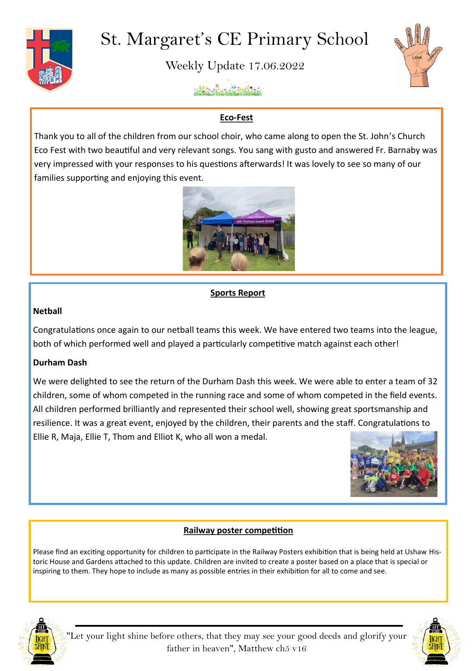

# St. Margaret's CE Primary School

Weekly Update 17.06.2022



Alternative Birth

# **Eco-Fest**

Thank you to all of the children from our school choir, who came along to open the St. John's Church Eco Fest with two beautiful and very relevant songs. You sang with gusto and answered Fr. Barnaby was very impressed with your responses to his questions afterwards! It was lovely to see so many of our families supporting and enjoying this event.



## **Sports Report**

#### **Netball**

Congratulations once again to our netball teams this week. We have entered two teams into the league, both of which performed well and played a particularly competitive match against each other!

## **Durham Dash**

We were delighted to see the return of the Durham Dash this week. We were able to enter a team of 32 children, some of whom competed in the running race and some of whom competed in the field events. All children performed brilliantly and represented their school well, showing great sportsmanship and resilience. It was a great event, enjoyed by the children, their parents and the staff. Congratulations to Ellie R, Maja, Ellie T, Thom and Elliot K, who all won a medal.



## **Railway poster competition**

Please find an exciting opportunity for children to participate in the Railway Posters exhibition that is being held at Ushaw Historic House and Gardens attached to this update. Children are invited to create a poster based on a place that is special or inspiring to them. They hope to include as many as possible entries in their exhibition for all to come and see.



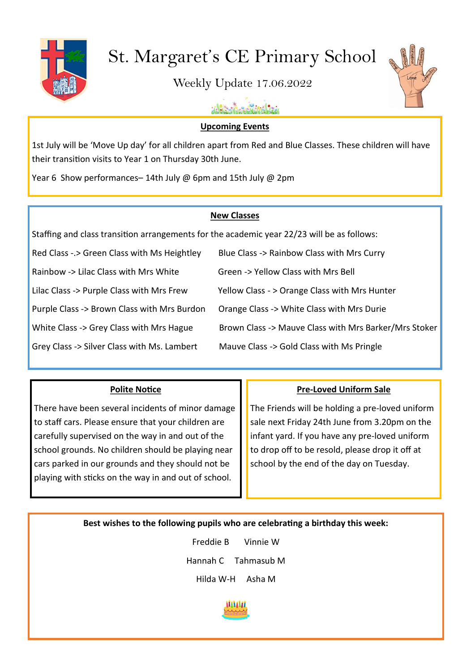

# St. Margaret's CE Primary School

Weekly Update 17.06.2022



uhlitzailen suiteklitzia

#### **Upcoming Events**

1st July will be 'Move Up day' for all children apart from Red and Blue Classes. These children will have their transition visits to Year 1 on Thursday 30th June.

Year 6 Show performances– 14th July @ 6pm and 15th July @ 2pm

## **New Classes**

Staffing and class transition arrangements for the academic year 22/23 will be as follows:

Red Class -.> Green Class with Ms Heightley Blue Class -> Rainbow Class with Mrs Curry Rainbow -> Lilac Class with Mrs White Green -> Yellow Class with Mrs Bell Lilac Class -> Purple Class with Mrs Frew Yellow Class -> Orange Class with Mrs Hunter Purple Class -> Brown Class with Mrs Burdon Orange Class -> White Class with Mrs Durie

White Class -> Grey Class with Mrs Hague Brown Class -> Mauve Class with Mrs Barker/Mrs Stoker

Grey Class -> Silver Class with Ms. Lambert Mauve Class -> Gold Class with Ms Pringle

# **Polite Notice**

There have been several incidents of minor damage to staff cars. Please ensure that your children are carefully supervised on the way in and out of the school grounds. No children should be playing near cars parked in our grounds and they should not be playing with sticks on the way in and out of school.

# **Pre-Loved Uniform Sale**

The Friends will be holding a pre-loved uniform sale next Friday 24th June from 3.20pm on the infant yard. If you have any pre-loved uniform to drop off to be resold, please drop it off at school by the end of the day on Tuesday.

**Best wishes to the following pupils who are celebrating a birthday this week:**

Freddie B Vinnie W Hannah C Tahmasub M Hilda W-H Asha M